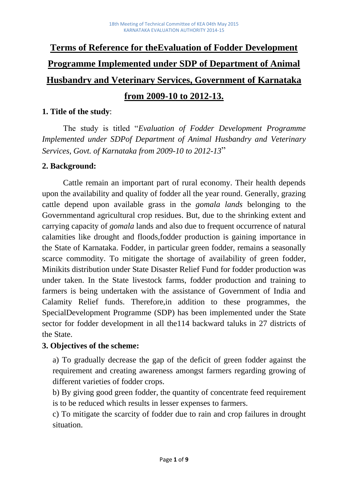# **Terms of Reference for theEvaluation of Fodder Development Programme Implemented under SDP of Department of Animal Husbandry and Veterinary Services, Government of Karnataka from 2009-10 to 2012-13.**

## **1. Title of the study**:

The study is titled "*Evaluation of Fodder Development Programme Implemented under SDPof Department of Animal Husbandry and Veterinary Services, Govt. of Karnataka from 2009-10 to 2012-13*"

## **2. Background:**

Cattle remain an important part of rural economy. Their health depends upon the availability and quality of fodder all the year round. Generally, grazing cattle depend upon available grass in the *gomala lands* belonging to the Governmentand agricultural crop residues. But, due to the shrinking extent and carrying capacity of *gomala* lands and also due to frequent occurrence of natural calamities like drought and floods,fodder production is gaining importance in the State of Karnataka. Fodder, in particular green fodder, remains a seasonally scarce commodity. To mitigate the shortage of availability of green fodder, Minikits distribution under State Disaster Relief Fund for fodder production was under taken. In the State livestock farms, fodder production and training to farmers is being undertaken with the assistance of Government of India and Calamity Relief funds. Therefore,in addition to these programmes, the SpecialDevelopment Programme (SDP) has been implemented under the State sector for fodder development in all the114 backward taluks in 27 districts of the State.

## **3. Objectives of the scheme:**

a) To gradually decrease the gap of the deficit of green fodder against the requirement and creating awareness amongst farmers regarding growing of different varieties of fodder crops.

b) By giving good green fodder, the quantity of concentrate feed requirement is to be reduced which results in lesser expenses to farmers.

c) To mitigate the scarcity of fodder due to rain and crop failures in drought situation.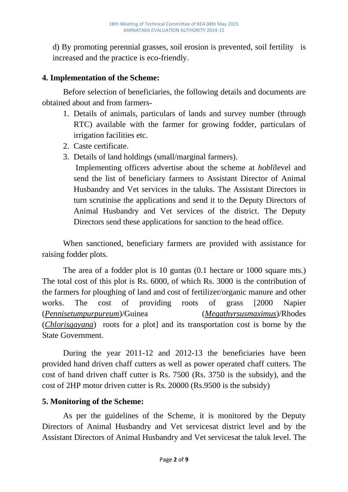d) By promoting perennial grasses, soil erosion is prevented, soil fertility is increased and the practice is eco-friendly.

# **4. Implementation of the Scheme:**

Before selection of beneficiaries, the following details and documents are obtained about and from farmers-

- 1. Details of animals, particulars of lands and survey number (through RTC) available with the farmer for growing fodder, particulars of irrigation facilities etc.
- 2. Caste certificate.
- 3. Details of land holdings (small/marginal farmers).
	- Implementing officers advertise about the scheme at *hobli*level and send the list of beneficiary farmers to Assistant Director of Animal Husbandry and Vet services in the taluks. The Assistant Directors in turn scrutinise the applications and send it to the Deputy Directors of Animal Husbandry and Vet services of the district. The Deputy Directors send these applications for sanction to the head office.

When sanctioned, beneficiary farmers are provided with assistance for raising fodder plots.

The area of a fodder plot is 10 guntas (0.1 hectare or 1000 square mts.) The total cost of this plot is Rs. 6000, of which Rs. 3000 is the contribution of the farmers for ploughing of land and cost of fertilizer/organic manure and other works. The cost of providing roots of grass [2000 Napier (*Pennisetumpurpureum*)/Guinea (*Megathyrsusmaximus*)/Rhodes (*Chlorisgayana*) roots for a plot] and its transportation cost is borne by the State Government.

During the year 2011-12 and 2012-13 the beneficiaries have been provided hand driven chaff cutters as well as power operated chaff cutters. The cost of hand driven chaff cutter is Rs. 7500 (Rs. 3750 is the subsidy), and the cost of 2HP motor driven cutter is Rs. 20000 (Rs.9500 is the subsidy)

# **5. Monitoring of the Scheme:**

As per the guidelines of the Scheme, it is monitored by the Deputy Directors of Animal Husbandry and Vet servicesat district level and by the Assistant Directors of Animal Husbandry and Vet servicesat the taluk level. The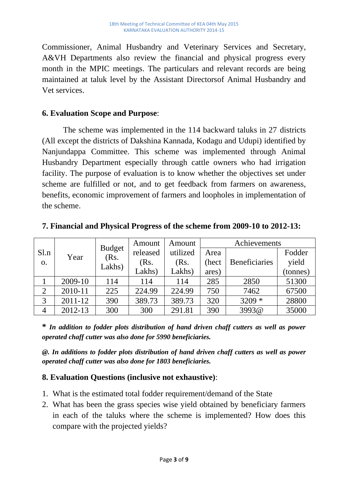Commissioner, Animal Husbandry and Veterinary Services and Secretary, A&VH Departments also review the financial and physical progress every month in the MPIC meetings. The particulars and relevant records are being maintained at taluk level by the Assistant Directorsof Animal Husbandry and Vet services.

## **6. Evaluation Scope and Purpose**:

The scheme was implemented in the 114 backward taluks in 27 districts (All except the districts of Dakshina Kannada, Kodagu and Udupi) identified by Nanjundappa Committee. This scheme was implemented through Animal Husbandry Department especially through cattle owners who had irrigation facility. The purpose of evaluation is to know whether the objectives set under scheme are fulfilled or not, and to get feedback from farmers on awareness, benefits, economic improvement of farmers and loopholes in implementation of the scheme.

|                  |         |                | Amount   | Amount   | Achievements |                      |          |
|------------------|---------|----------------|----------|----------|--------------|----------------------|----------|
| Sl.n             | Year    | <b>Budget</b>  | released | utilized | Area         |                      | Fodder   |
| $\overline{O}$ . |         | (Rs.<br>Lakhs) | (Rs.     | (Rs.     | (hect)       | <b>Beneficiaries</b> | yield    |
|                  |         |                | Lakhs)   | Lakhs)   | ares)        |                      | (tonnes) |
|                  | 2009-10 | 114            | 114      | 114      | 285          | 2850                 | 51300    |
| $\overline{2}$   | 2010-11 | 225            | 224.99   | 224.99   | 750          | 7462                 | 67500    |
| 3                | 2011-12 | 390            | 389.73   | 389.73   | 320          | $3209 *$             | 28800    |
| 4                | 2012-13 | 300            | 300      | 291.81   | 390          | 3993@                | 35000    |

**7. Financial and Physical Progress of the scheme from 2009-10 to 2012-13:**

**\*** *In addition to fodder plots distribution of hand driven chaff cutters as well as power operated chaff cutter was also done for 5990 beneficiaries.*

*@. In additions to fodder plots distribution of hand driven chaff cutters as well as power operated chaff cutter was also done for 1803 beneficiaries.*

# **8. Evaluation Questions (inclusive not exhaustive)**:

- 1. What is the estimated total fodder requirement/demand of the State
- 2. What has been the grass species wise yield obtained by beneficiary farmers in each of the taluks where the scheme is implemented? How does this compare with the projected yields?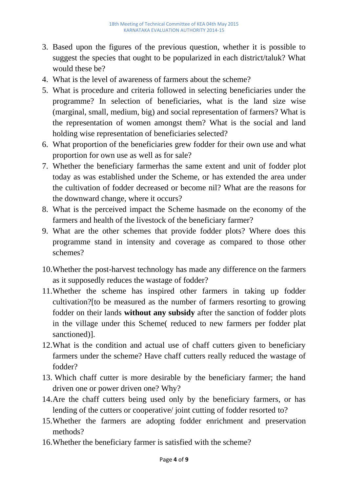- 3. Based upon the figures of the previous question, whether it is possible to suggest the species that ought to be popularized in each district/taluk? What would these be?
- 4. What is the level of awareness of farmers about the scheme?
- 5. What is procedure and criteria followed in selecting beneficiaries under the programme? In selection of beneficiaries, what is the land size wise (marginal, small, medium, big) and social representation of farmers? What is the representation of women amongst them? What is the social and land holding wise representation of beneficiaries selected?
- 6. What proportion of the beneficiaries grew fodder for their own use and what proportion for own use as well as for sale?
- 7. Whether the beneficiary farmerhas the same extent and unit of fodder plot today as was established under the Scheme, or has extended the area under the cultivation of fodder decreased or become nil? What are the reasons for the downward change, where it occurs?
- 8. What is the perceived impact the Scheme hasmade on the economy of the farmers and health of the livestock of the beneficiary farmer?
- 9. What are the other schemes that provide fodder plots? Where does this programme stand in intensity and coverage as compared to those other schemes?
- 10.Whether the post-harvest technology has made any difference on the farmers as it supposedly reduces the wastage of fodder?
- 11.Whether the scheme has inspired other farmers in taking up fodder cultivation?[to be measured as the number of farmers resorting to growing fodder on their lands **without any subsidy** after the sanction of fodder plots in the village under this Scheme( reduced to new farmers per fodder plat sanctioned)].
- 12.What is the condition and actual use of chaff cutters given to beneficiary farmers under the scheme? Have chaff cutters really reduced the wastage of fodder?
- 13. Which chaff cutter is more desirable by the beneficiary farmer; the hand driven one or power driven one? Why?
- 14.Are the chaff cutters being used only by the beneficiary farmers, or has lending of the cutters or cooperative/ joint cutting of fodder resorted to?
- 15.Whether the farmers are adopting fodder enrichment and preservation methods?
- 16.Whether the beneficiary farmer is satisfied with the scheme?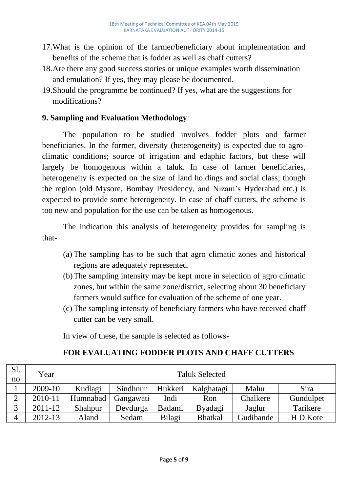- 17.What is the opinion of the farmer/beneficiary about implementation and benefits of the scheme that is fodder as well as chaff cutters?
- 18.Are there any good success stories or unique examples worth dissemination and emulation? If yes, they may please be documented.
- 19.Should the programme be continued? If yes, what are the suggestions for modifications?

# **9. Sampling and Evaluation Methodology**:

The population to be studied involves fodder plots and farmer beneficiaries. In the former, diversity (heterogeneity) is expected due to agroclimatic conditions; source of irrigation and edaphic factors, but these will largely be homogenous within a taluk. In case of farmer beneficiaries, heterogeneity is expected on the size of land holdings and social class; though the region (old Mysore, Bombay Presidency, and Nizam's Hyderabad etc.) is expected to provide some heterogeneity. In case of chaff cutters, the scheme is too new and population for the use can be taken as homogenous.

The indication this analysis of heterogeneity provides for sampling is that-

- (a) The sampling has to be such that agro climatic zones and historical regions are adequately represented.
- (b)The sampling intensity may be kept more in selection of agro climatic zones, but within the same zone/district, selecting about 30 beneficiary farmers would suffice for evaluation of the scheme of one year.
- (c) The sampling intensity of beneficiary farmers who have received chaff cutter can be very small.

In view of these, the sample is selected as follows-

# **FOR EVALUATING FODDER PLOTS AND CHAFF CUTTERS**

| S1.<br>no | Year    | <b>Taluk Selected</b> |           |         |                |           |           |
|-----------|---------|-----------------------|-----------|---------|----------------|-----------|-----------|
|           | 2009-10 | Kudlagi               | Sindhnur  | Hukkeri | Kalghatagi     | Malur     | Sira      |
|           | 2010-11 | Humnabad              | Gangawati | Indi    | Ron            | Chalkere  | Gundulpet |
|           | 2011-12 | Shahpur               | Devdurga  | Badami  | <b>Byadagi</b> | Jaglur    | Tarikere  |
|           | 2012-13 | Aland                 | Sedam     | Bilagi  | <b>Bhatkal</b> | Gudibande | H D Kote  |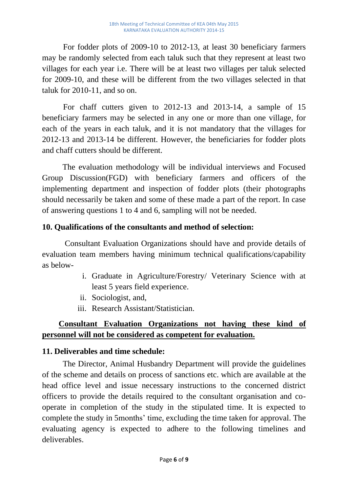For fodder plots of 2009-10 to 2012-13, at least 30 beneficiary farmers may be randomly selected from each taluk such that they represent at least two villages for each year i.e. There will be at least two villages per taluk selected for 2009-10, and these will be different from the two villages selected in that taluk for 2010-11, and so on.

For chaff cutters given to 2012-13 and 2013-14, a sample of 15 beneficiary farmers may be selected in any one or more than one village, for each of the years in each taluk, and it is not mandatory that the villages for 2012-13 and 2013-14 be different. However, the beneficiaries for fodder plots and chaff cutters should be different.

 The evaluation methodology will be individual interviews and Focused Group Discussion(FGD) with beneficiary farmers and officers of the implementing department and inspection of fodder plots (their photographs should necessarily be taken and some of these made a part of the report. In case of answering questions 1 to 4 and 6, sampling will not be needed.

# **10. Qualifications of the consultants and method of selection:**

 Consultant Evaluation Organizations should have and provide details of evaluation team members having minimum technical qualifications/capability as below-

- i. Graduate in Agriculture/Forestry/ Veterinary Science with at least 5 years field experience.
- ii. Sociologist, and,
- iii. Research Assistant/Statistician.

# **Consultant Evaluation Organizations not having these kind of personnel will not be considered as competent for evaluation.**

## **11. Deliverables and time schedule:**

The Director, Animal Husbandry Department will provide the guidelines of the scheme and details on process of sanctions etc. which are available at the head office level and issue necessary instructions to the concerned district officers to provide the details required to the consultant organisation and cooperate in completion of the study in the stipulated time. It is expected to complete the study in 5months' time, excluding the time taken for approval. The evaluating agency is expected to adhere to the following timelines and deliverables.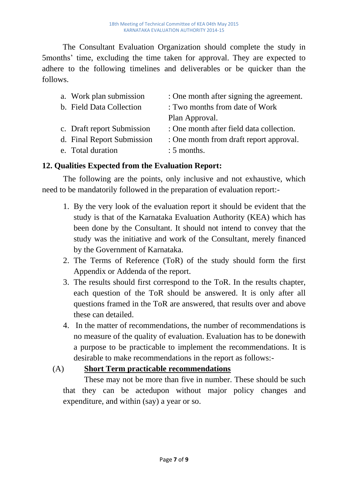The Consultant Evaluation Organization should complete the study in 5months' time, excluding the time taken for approval. They are expected to adhere to the following timelines and deliverables or be quicker than the follows.

| a. Work plan submission    | : One month after signing the agreement. |
|----------------------------|------------------------------------------|
| b. Field Data Collection   | : Two months from date of Work           |
|                            | Plan Approval.                           |
| c. Draft report Submission | : One month after field data collection. |
| d. Final Report Submission | : One month from draft report approval.  |
| e. Total duration          | $: 5$ months.                            |

## **12. Qualities Expected from the Evaluation Report:**

The following are the points, only inclusive and not exhaustive, which need to be mandatorily followed in the preparation of evaluation report:-

- 1. By the very look of the evaluation report it should be evident that the study is that of the Karnataka Evaluation Authority (KEA) which has been done by the Consultant. It should not intend to convey that the study was the initiative and work of the Consultant, merely financed by the Government of Karnataka.
- 2. The Terms of Reference (ToR) of the study should form the first Appendix or Addenda of the report.
- 3. The results should first correspond to the ToR. In the results chapter, each question of the ToR should be answered. It is only after all questions framed in the ToR are answered, that results over and above these can detailed.
- 4. In the matter of recommendations, the number of recommendations is no measure of the quality of evaluation. Evaluation has to be donewith a purpose to be practicable to implement the recommendations. It is desirable to make recommendations in the report as follows:-

## (A) **Short Term practicable recommendations**

These may not be more than five in number. These should be such that they can be actedupon without major policy changes and expenditure, and within (say) a year or so.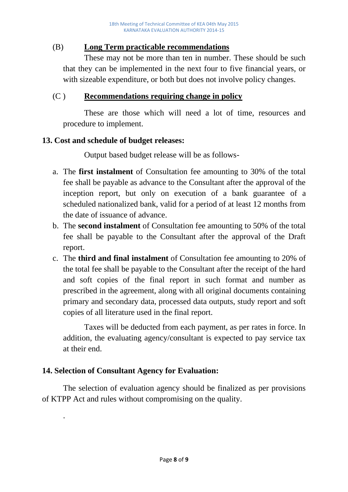## (B) **Long Term practicable recommendations**

These may not be more than ten in number. These should be such that they can be implemented in the next four to five financial years, or with sizeable expenditure, or both but does not involve policy changes.

## (C ) **Recommendations requiring change in policy**

These are those which will need a lot of time, resources and procedure to implement.

## **13. Cost and schedule of budget releases:**

Output based budget release will be as follows-

- a. The **first instalment** of Consultation fee amounting to 30% of the total fee shall be payable as advance to the Consultant after the approval of the inception report, but only on execution of a bank guarantee of a scheduled nationalized bank, valid for a period of at least 12 months from the date of issuance of advance.
- b. The **second instalment** of Consultation fee amounting to 50% of the total fee shall be payable to the Consultant after the approval of the Draft report.
- c. The **third and final instalment** of Consultation fee amounting to 20% of the total fee shall be payable to the Consultant after the receipt of the hard and soft copies of the final report in such format and number as prescribed in the agreement, along with all original documents containing primary and secondary data, processed data outputs, study report and soft copies of all literature used in the final report.

Taxes will be deducted from each payment, as per rates in force. In addition, the evaluating agency/consultant is expected to pay service tax at their end.

# **14. Selection of Consultant Agency for Evaluation:**

.

The selection of evaluation agency should be finalized as per provisions of KTPP Act and rules without compromising on the quality.